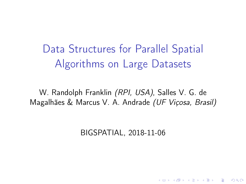<span id="page-0-0"></span>Data Structures for Parallel Spatial Algorithms on Large Datasets

W. Randolph Franklin (RPI, USA), Salles V. G. de Magalhães & Marcus V. A. Andrade (UF Viçosa, Brasil)

BIGSPATIAL, 2018-11-06

**KORKA BRADE KORA**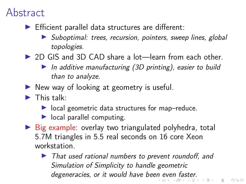#### <span id="page-1-0"></span>Abstract

- $\blacktriangleright$  Efficient parallel data structures are different:
	- **In** Suboptimal: trees, recursion, pointers, sweep lines, global topologies.
- ▶ 2D GIS and 3D CAD share a lot—learn from each other.
	- In additive manufacturing  $(3D \text{ printing})$ , easier to build than to analyze.
- $\triangleright$  New way of looking at geometry is useful.
- $\blacktriangleright$  This talk:
	- $\triangleright$  local geometric data structures for map–reduce.
	- $\blacktriangleright$  local parallel computing.
- $\triangleright$  Big example: overlay two triangulated polyhedra, total 5.7M triangles in 5.5 real seconds on 16 core Xeon workstation.
	- $\blacktriangleright$  That used rational numbers to prevent roundoff, and Simulation of Simplicity to handle geometric dege[n](#page-0-0)eracies, or it would ha[ve](#page-2-0) been even [fa](#page-1-0)[s](#page-2-0)[te](#page-0-0)[r.](#page-30-0)<br>The state of the state of the state of the state of the state of the state of the state of the state of the sta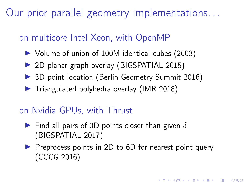<span id="page-2-0"></span>Our prior parallel geometry implementations. . .

#### on multicore Intel Xeon, with OpenMP

- ▶ Volume of union of 100M identical cubes (2003)
- ▶ 2D planar graph overlay (BIGSPATIAL 2015)
- ▶ 3D point location (Berlin Geometry Summit 2016)
- $\blacktriangleright$  Triangulated polyhedra overlay (IMR 2018)

#### on Nvidia GPUs, with Thrust

- Find all pairs of 3D points closer than given  $\delta$ (BIGSPATIAL 2017)
- $\triangleright$  Preprocess points in 2D to 6D for nearest point query (CCCG 2016)

4 0 > 4 4 + 4 = > 4 = > = + + 0 4 0 +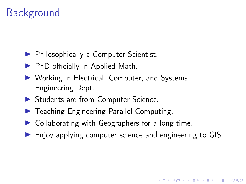### Background

- **Philosophically a Computer Scientist.**
- $\blacktriangleright$  PhD officially in Applied Math.
- $\triangleright$  Working in Electrical, Computer, and Systems Engineering Dept.
- **In Students are from Computer Science.**
- **F** Teaching Engineering Parallel Computing.
- $\triangleright$  Collaborating with Geographers for a long time.
- $\blacktriangleright$  Enjoy applying computer science and engineering to GIS.

**KORKA BRADE KORA**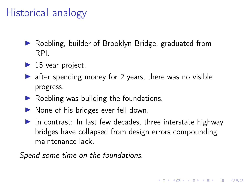#### Historical analogy

- $\blacktriangleright$  Roebling, builder of Brooklyn Bridge, graduated from RPI.
- $\blacktriangleright$  15 year project.
- $\triangleright$  after spending money for 2 years, there was no visible progress.
- $\triangleright$  Roebling was building the foundations.
- $\triangleright$  None of his bridges ever fell down.
- $\blacktriangleright$  In contrast: In last few decades, three interstate highway bridges have collapsed from design errors compounding maintenance lack.

**KORKA BRADE KORA** 

Spend some time on the foundations.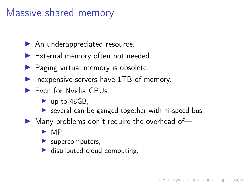#### Massive shared memory

- $\blacktriangleright$  An underappreciated resource.
- $\blacktriangleright$  External memory often not needed.
- $\blacktriangleright$  Paging virtual memory is obsolete.
- $\blacktriangleright$  Inexpensive servers have 1TB of memory.
- $\blacktriangleright$  Even for Nvidia GPUs:
	- $\blacktriangleright$  up to 48GB,
	- $\triangleright$  several can be ganged together with hi-speed bus.

**KORKA BRADE KORA** 

- $\blacktriangleright$  Many problems don't require the overhead of-
	- $\triangleright$  MPI.
	- $\blacktriangleright$  supercomputers,
	- $\blacktriangleright$  distributed cloud computing.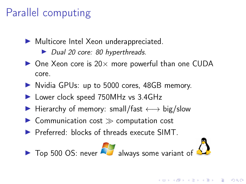#### Parallel computing

 $\blacktriangleright$  Multicore Intel Xeon underappreciated.

▶ Dual 20 core: 80 hyperthreads.

- $\triangleright$  One Xeon core is 20 $\times$  more powerful than one CUDA core.
- In Nvidia GPUs: up to 5000 cores, 48GB memory.
- ▶ Lower clock speed 750MHz vs 3.4GHz
- $\triangleright$  Hierarchy of memory: small/fast  $\longleftrightarrow$  big/slow
- $\triangleright$  Communication cost  $\gg$  computation cost
- **In Preferred:** blocks of threads execute SIMT





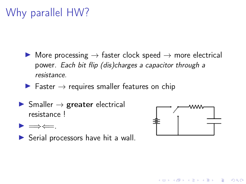## <span id="page-7-0"></span>Why parallel HW?

- $\triangleright$  More processing  $\rightarrow$  faster clock speed  $\rightarrow$  more electrical power. Each bit flip (dis)charges a capacitor through a resistance.
- $\blacktriangleright$  Faster  $\rightarrow$  requires smaller features on chip
- $\triangleright$  Smaller  $\rightarrow$  greater electrical resistance !



**KORK STRAIN A STRAIN A STRAIN** 

- $\blacktriangleright \Longrightarrow \Longleftarrow$ .
- $\triangleright$  Serial processors have hit a wall.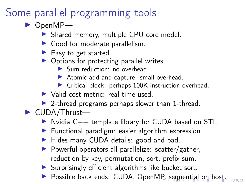#### <span id="page-8-0"></span>Some parallel programming tools

- $\triangleright$  OpenMP-
	- ▶ Shared memory, multiple CPU core model.
	- $\blacktriangleright$  Good for moderate parallelism.
	- $\blacktriangleright$  Easy to get started.
	- $\triangleright$  Options for protecting parallel writes:
		- In Sum reduction: no overhead.
		- $\blacktriangleright$  Atomic add and capture: small overhead.
		- $\triangleright$  Critical block: perhaps 100K instruction overhead.
	- $\triangleright$  Valid cost metric: real time used.
	- $\triangleright$  2-thread programs perhaps slower than 1-thread.
- $\blacktriangleright$  CUDA/Thrust-
	- $\triangleright$  Nvidia C++ template library for CUDA based on STL.
	- $\blacktriangleright$  Functional paradigm: easier algorithm expression.
	- $\blacktriangleright$  Hides many CUDA details: good and bad.
	- $\triangleright$  Powerful operators all parallelize: scatter/gather, reduction by key, permutation, sort, prefix sum.
	- $\blacktriangleright$  Surprisingly efficient algorithms like bucket sort.
	- **Possible back ends: CUDA, Open[MP](#page-7-0)[, s](#page-9-0)[e](#page-9-0)[qu](#page-8-0)e[nti](#page-0-0)[al](#page-30-0) [on](#page-0-0) [h](#page-30-0)[os](#page-0-0)[t.](#page-30-0)**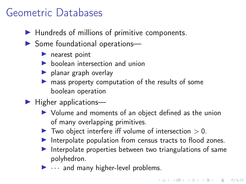#### <span id="page-9-0"></span>Geometric Databases

- $\blacktriangleright$  Hundreds of millions of primitive components.
- $\triangleright$  Some foundational operations—
	- $\blacktriangleright$  nearest point
	- $\blacktriangleright$  boolean intersection and union
	- $\blacktriangleright$  planar graph overlay
	- $\blacktriangleright$  mass property computation of the results of some boolean operation
- $\blacktriangleright$  Higher applications—
	- $\triangleright$  Volume and moments of an object defined as the union of many overlapping primitives.
	- $\blacktriangleright$  Two object interfere iff volume of intersection  $> 0$ .
	- $\blacktriangleright$  Interpolate population from census tracts to flood zones.
	- Interpolate properties between two triangulations of same polyhedron.
	- $\blacktriangleright$   $\cdots$  and many higher-level problems.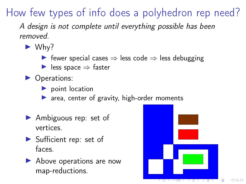How few types of info does a polyhedron rep need?

A design is not complete until everything possible has been removed.

- $\blacktriangleright$  Why?
	- $\triangleright$  fewer special cases  $\Rightarrow$  less code  $\Rightarrow$  less debugging
	- $\triangleright$  less space  $\Rightarrow$  faster
- Operations:
	- $\blacktriangleright$  point location
	- $\triangleright$  area, center of gravity, high-order moments
- $\blacktriangleright$  Ambiguous rep: set of vertices.
- $\blacktriangleright$  Sufficient rep: set of faces.
- $\blacktriangleright$  Above operations are now map-reductions.



 $QQ$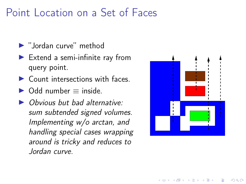#### Point Location on a Set of Faces

- $\blacktriangleright$  "Jordan curve" method
- $\blacktriangleright$  Extend a semi-infinite ray from query point.
- $\triangleright$  Count intersections with faces.
- $\triangleright$  Odd number  $=$  inside.
- $\triangleright$  Obvious but bad alternative: sum subtended signed volumes. Implementing w/o arctan, and handling special cases wrapping around is tricky and reduces to Jordan curve.



モロン 不得 メモン イヨン・ヨー

 $QQ$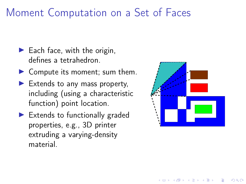#### Moment Computation on a Set of Faces

- $\blacktriangleright$  Each face, with the origin, defines a tetrahedron.
- $\triangleright$  Compute its moment; sum them.
- $\blacktriangleright$  Extends to any mass property, including (using a characteristic function) point location.
- $\blacktriangleright$  Extends to functionally graded properties, e.g., 3D printer extruding a varying-density material.



 $\mathbf{A} \equiv \mathbf{A} + \mathbf{A} + \mathbf{B} + \mathbf{A} + \mathbf{B} + \mathbf{A} + \mathbf{B} + \mathbf{A} + \mathbf{B} + \mathbf{A} + \mathbf{B} + \mathbf{A} + \mathbf{B} + \mathbf{A} + \mathbf{B} + \mathbf{A} + \mathbf{B} + \mathbf{A} + \mathbf{B} + \mathbf{A} + \mathbf{B} + \mathbf{A} + \mathbf{B} + \mathbf{A} + \mathbf{B} + \mathbf{A} + \mathbf{B} + \mathbf{A} + \mathbf{B} + \mathbf{A} + \math$ 

 $QQ$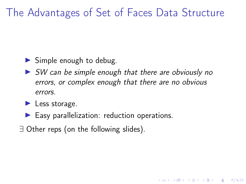#### The Advantages of Set of Faces Data Structure

- $\triangleright$  Simple enough to debug.
- $\triangleright$  SW can be simple enough that there are obviously no errors, or complex enough that there are no obvious errors.

**KORK STRAIN A STRAIN A STRAIN** 

- $\blacktriangleright$  Less storage.
- $\blacktriangleright$  Easy parallelization: reduction operations.
- ∃ Other reps (on the following slides).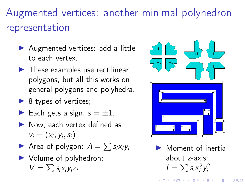Augmented vertices: another minimal polyhedron representation

- ▶ Augmented vertices: add a little to each vertex.
- $\blacktriangleright$  These examples use rectilinear polygons, but all this works on general polygons and polyhedra.
- $\triangleright$  8 types of vertices;
- Each gets a sign,  $s = \pm 1$ .
- $\blacktriangleright$  Now, each vertex defined as  $v_i = (x_i, y_i, s_i)$
- Area of polygon:  $A = \sum s_i x_i y_i$
- $\blacktriangleright$  Volume of polyhedron:  $V = \sum s_i x_i y_i z_i$



Moment of inertia about z-axis:  $I=\sum s_i x_i^2 y_i^2$ 

K ロ ▶ K 御 ▶ K 唐 ▶ K 唐 ▶ │ 唐

 $2990$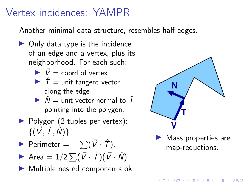#### Vertex incidences: YAMPR

Another minimal data structure, resembles half edges.

- $\triangleright$  Only data type is the incidence of an edge and a vertex, plus its neighborhood. For each such:
	- $\overrightarrow{V}$  = coord of vertex
	- $\hat{T}$  = unit tangent vector along the edge
	- $\hat{N}$  = unit vector normal to  $\hat{T}$ pointing into the polygon.
- $\triangleright$  Polygon (2 tuples per vertex):  $\{(\vec{V}, \hat{T}, \hat{N})\}$

Perimeter =  $-\sum(\vec{V} \cdot \hat{T})$ .

Area =  $1/2 \sum (\vec{V} \cdot \hat{T}) (\vec{V} \cdot \hat{N})$ 

 $\blacktriangleright$  Multiple nested components ok.



 $\blacktriangleright$  Mass properties are map-reductions.

**KORKA SERVER ORA**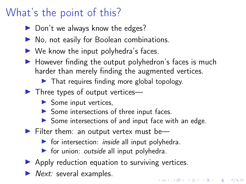### What's the point of this?

- $\triangleright$  Don't we always know the edges?
- $\triangleright$  No, not easily for Boolean combinations.
- $\triangleright$  We know the input polyhedra's faces.
- $\blacktriangleright$  However finding the output polyhedron's faces is much harder than merely finding the augmented vertices.
	- $\blacktriangleright$  That requires finding more global topology.
- $\blacktriangleright$  Three types of output vertices—
	- $\triangleright$  Some input vertices,
	- $\triangleright$  Some intersections of three input faces.
	- $\triangleright$  Some intersections of and input face with an edge.

KID KA KERKER KID KO

- $\blacktriangleright$  Filter them: an output vertex must be—
	- $\triangleright$  for intersection: *inside* all input polyhedra.
	- $\triangleright$  for union: *outside* all input polyhedra.
- $\triangleright$  Apply reduction equation to surviving vertices.
- $\blacktriangleright$  Next: several examples.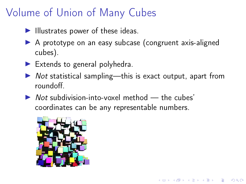#### <span id="page-17-0"></span>Volume of Union of Many Cubes

- $\blacktriangleright$  Illustrates power of these ideas.
- $\triangleright$  A prototype on an easy subcase (congruent axis-aligned cubes).
- $\blacktriangleright$  Extends to general polyhedra.
- $\triangleright$  Not statistical sampling—this is exact output, apart from roundoff.

**KORKA BRADE KORA** 

 $\triangleright$  Not subdivision-into-voxel method  $-$  the cubes' coordinates can be any representable numbers.

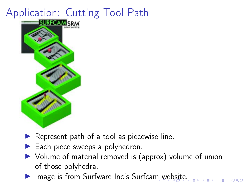# <span id="page-18-0"></span>Application: Cutting Tool Path



- $\blacktriangleright$  Represent path of a tool as piecewise line.
- $\blacktriangleright$  Each piece sweeps a polyhedron.
- $\triangleright$  Volume of material removed is (approx) volume of union of those polyhedra.

 $\Omega$ 

Image is fro[m](#page-17-0) Surfware Inc's Surfcam [we](#page-19-0)[b](#page-17-0)[sit](#page-18-0)[e](#page-19-0)[.](#page-0-0)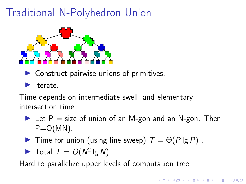## <span id="page-19-0"></span>Traditional N-Polyhedron Union



- $\triangleright$  Construct pairwise unions of primitives.
- $\blacktriangleright$  Iterate

Time depends on intermediate swell, and elementary intersection time.

- In Let P = size of union of an M-gon and an N-gon. Then  $P=O(MN)$ .
- $\blacktriangleright$  Time for union (using line sweep)  $T = \Theta(P \lg P)$ .
- $\blacktriangleright$  Total  $T = O(N^2 \lg N)$ .

Hard to parallelize upper levels of computation tree.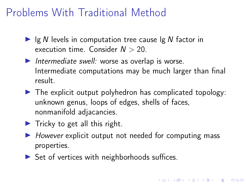#### Problems With Traditional Method

- Ig N levels in computation tree cause  $\lg N$  factor in execution time. Consider  $N > 20$ .
- Intermediate swell: worse as overlap is worse. Intermediate computations may be much larger than final result.
- $\blacktriangleright$  The explicit output polyhedron has complicated topology: unknown genus, loops of edges, shells of faces, nonmanifold adjacancies.
- $\blacktriangleright$  Tricky to get all this right.
- $\triangleright$  However explicit output not needed for computing mass properties.

4 0 > 4 4 + 4 = > 4 = > = + + 0 4 0 +

 $\triangleright$  Set of vertices with neighborhoods suffices.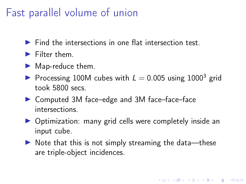#### Fast parallel volume of union

- $\blacktriangleright$  Find the intersections in one flat intersection test.
- $\blacktriangleright$  Filter them.
- $\blacktriangleright$  Map-reduce them.
- Processing 100M cubes with  $L = 0.005$  using 1000<sup>3</sup> grid took 5800 secs.
- ▶ Computed 3M face–edge and 3M face–face–face intersections.
- $\triangleright$  Optimization: many grid cells were completely inside an input cube.
- $\triangleright$  Note that this is not simply streaming the data—these are triple-object incidences.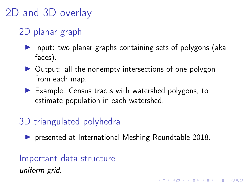#### <span id="page-22-0"></span>2D and 3D overlay

#### 2D planar graph

- $\blacktriangleright$  Input: two planar graphs containing sets of polygons (aka faces).
- $\triangleright$  Output: all the nonempty intersections of one polygon from each map.
- $\blacktriangleright$  Example: Census tracts with watershed polygons, to estimate population in each watershed.

#### 3D triangulated polyhedra

**In presented at International Meshing Roundtable 2018.** 

**K ロ X K 레 X K 회 X X 회 X 및 X X X X X 전** 

Important data structure uniform grid.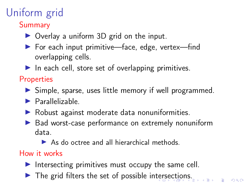# <span id="page-23-0"></span>Uniform grid

**Summary** 

- $\triangleright$  Overlay a uniform 3D grid on the input.
- ▶ For each input primitive—face, edge, vertex—find overlapping cells.
- $\blacktriangleright$  In each cell, store set of overlapping primitives.

#### **Properties**

- $\triangleright$  Simple, sparse, uses little memory if well programmed.
- $\blacktriangleright$  Parallelizable
- $\blacktriangleright$  Robust against moderate data nonuniformities.
- $\triangleright$  Bad worst-case performance on extremely nonuniform data.
	- $\triangleright$  As do octree and all hierarchical methods.

#### How it works

- Intersecting primitives must occupy the same cell.
- The grid fil[ter](#page-22-0)s the [se](#page-24-0)t of possible interse[c](#page-22-0)[tio](#page-23-0)[n](#page-24-0)[s.](#page-0-0)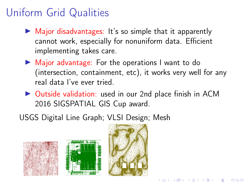#### <span id="page-24-0"></span>Uniform Grid Qualities

- $\triangleright$  Major disadvantages: It's so simple that it apparently cannot work, especially for nonuniform data. Efficient implementing takes care.
- $\blacktriangleright$  Major advantage: For the operations I want to do (intersection, containment, etc), it works very well for any real data I've ever tried.
- ▶ Outside validation: used in our 2nd place finish in ACM 2016 SIGSPATIAL GIS Cup award.
- USGS Digital Line Graph; VLSI Design; Mesh







KEL KARIK KEL KEN KELI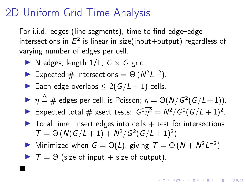#### 2D Uniform Grid Time Analysis

For i.i.d. edges (line segments), time to find edge–edge intersections in  $E^2$  is linear in size(input $+$ output) regardless of varying number of edges per cell.

- $\triangleright$  N edges, length 1/L,  $G \times G$  grid.
- Expected # intersections =  $\Theta(N^2L^{-2})$ .
- Each edge overlaps  $\leq 2(G/L+1)$  cells.
- $\blacktriangleright \ \eta \stackrel{\Delta}{=} \#$  edges per cell, is Poisson;  $\overline{\eta} = \Theta(N/G^2(G/L+1)).$
- Expected total # xsect tests:  $G^2 \overline{\eta^2} = N^2/G^2(G/L+1)^2$ .
- $\triangleright$  Total time: insert edges into cells  $+$  test for intersections.  $T = \Theta(N(G/L + 1) + N^2/G^2(G/L + 1)^2).$
- Minimized when  $G = \Theta(L)$ , giving  $T = \Theta(N + N^2L^{-2})$ .

 $\blacktriangleright$   $\top = \Theta$  (size of input + size of output).

 $\blacksquare$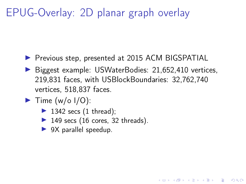#### EPUG-Overlay: 2D planar graph overlay

- **Previous step, presented at 2015 ACM BIGSPATIAL**
- ▶ Biggest example: USWaterBodies: 21,652,410 vertices, 219,831 faces, with USBlockBoundaries: 32,762,740 vertices, 518,837 faces.

**KORKA BRADE KORA** 

- $\blacktriangleright$  Time (w/o I/O):
	- $\blacktriangleright$  1342 secs (1 thread);
	- $\blacktriangleright$  149 secs (16 cores, 32 threads).
	- $\triangleright$  9X parallel speedup.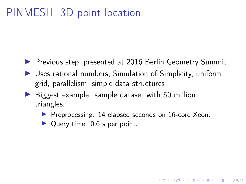#### <span id="page-27-0"></span>PINMESH: 3D point location

- **Perious step, presented at 2016 Berlin Geometry Summit**
- $\triangleright$  Uses rational numbers, Simulation of Simplicity, uniform grid, parallelism, simple data structures
- $\triangleright$  Biggest example: sample dataset with 50 million triangles.
	- **Preprocessing: 14 elapsed seconds on 16-core Xeon.**

**KORKA BRADE KORA** 

 $\triangleright$  Query time: 0.6 s per point.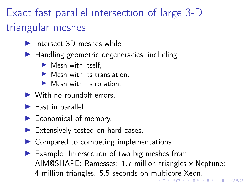## <span id="page-28-0"></span>Exact fast parallel intersection of large 3-D triangular meshes

- $Intersect 3D$  meshes while
- $\blacktriangleright$  Handling geometric degeneracies, including
	- $\blacktriangleright$  Mesh with itself,
	- $\blacktriangleright$  Mesh with its translation,
	- $\blacktriangleright$  Mesh with its rotation.
- $\blacktriangleright$  With no roundoff errors.
- $\blacktriangleright$  Fast in parallel.
- $\blacktriangleright$  Economical of memory.
- $\blacktriangleright$  Extensively tested on hard cases.
- $\triangleright$  Compared to competing implementations.
- $\blacktriangleright$  Example: Intersection of two big meshes from AIM@SHAPE: Ramesses: 1.7 million triangles x Neptune: 4 million triangles. 5.5 seconds on [mul](#page-27-0)t[ic](#page-29-0)[o](#page-27-0)[re](#page-28-0)[Xe](#page-0-0)[on](#page-30-0)[.](#page-0-0)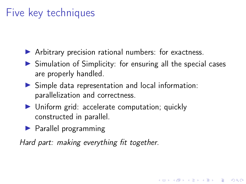#### <span id="page-29-0"></span>Five key techniques

- $\blacktriangleright$  Arbitrary precision rational numbers: for exactness.
- $\triangleright$  Simulation of Simplicity: for ensuring all the special cases are properly handled.

**KORKA BRADE KORA** 

- $\triangleright$  Simple data representation and local information: parallelization and correctness.
- $\triangleright$  Uniform grid: accelerate computation; quickly constructed in parallel.
- $\blacktriangleright$  Parallel programming

Hard part: making everything fit together.